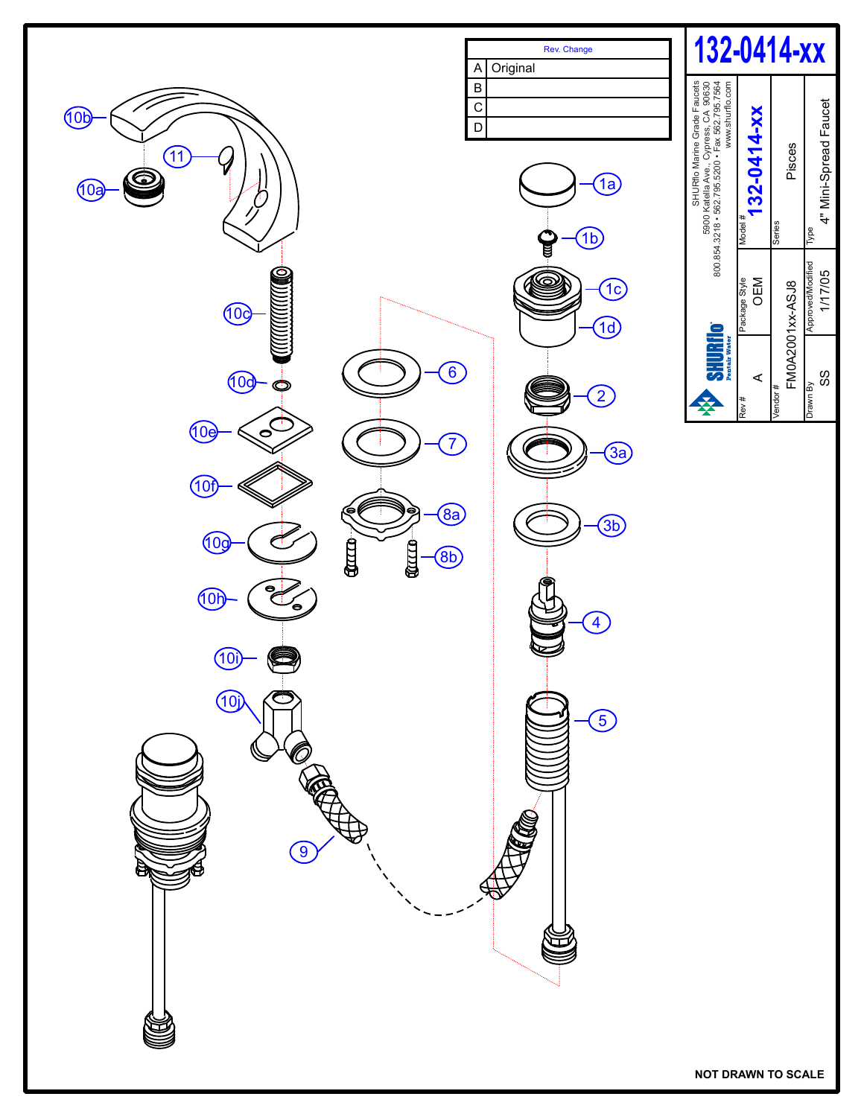

**NOT DRAWN TO SCALE**